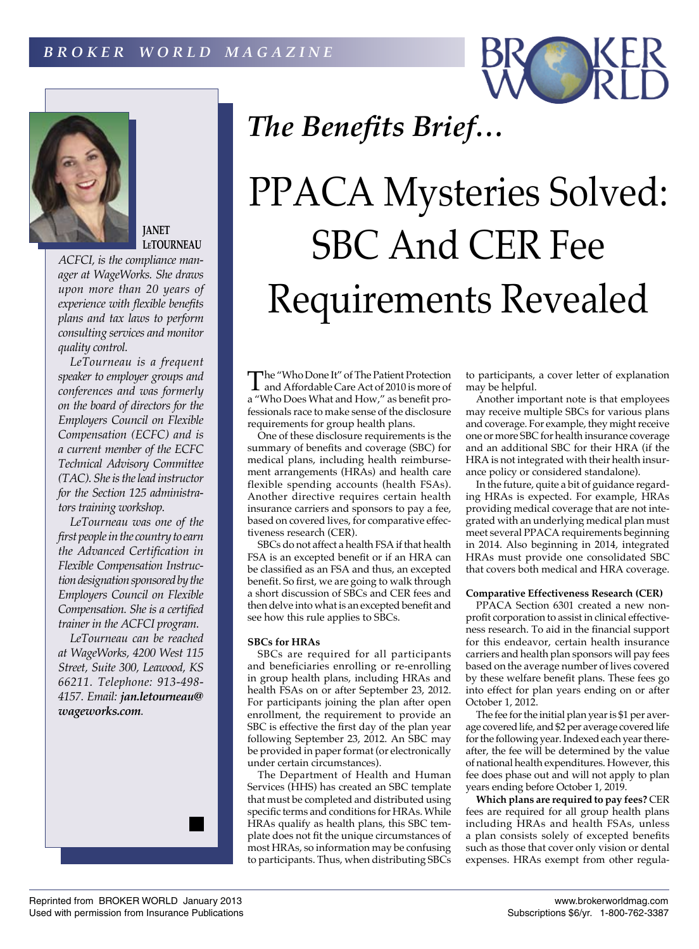



**JANET LeTOURNEAU**

*ACFCI, is the compliance manager at WageWorks. She draws upon more than 20 years of experience with flexible benefits plans and tax laws to perform consulting services and monitor quality control.*

*LeTourneau is a frequent speaker to employer groups and conferences and was formerly on the board of directors for the Employers Council on Flexible Compensation (ECFC) and is a current member of the ECFC Technical Advisory Committee (TAC). She is the lead instructor for the Section 125 administrators training workshop.*

*LeTourneau was one of the first people in the country to earn the Advanced Certification in Flexible Compensation Instruction designation sponsored by the Employers Council on Flexible Compensation. She is a certified trainer in the ACFCI program.*

*LeTourneau can be reached at WageWorks, 4200 West 115 Street, Suite 300, Leawood, KS 66211. Telephone: 913-498- 4157. Email: jan.letourneau@ wageworks.com.*

# *The Benefits Brief…*

# PPACA Mysteries Solved: SBC And CER Fee Requirements Revealed

The "Who Done It" of The Patient Protection<br>and Affordable Care Act of 2010 is more of a "Who Does What and How," as benefit professionals race to make sense of the disclosure requirements for group health plans.

One of these disclosure requirements is the summary of benefits and coverage (SBC) for medical plans, including health reimbursement arrangements (HRAs) and health care flexible spending accounts (health FSAs). Another directive requires certain health insurance carriers and sponsors to pay a fee, based on covered lives, for comparative effectiveness research (CER).

SBCs do not affect a health FSA if that health FSA is an excepted benefit or if an HRA can be classified as an FSA and thus, an excepted benefit. So first, we are going to walk through a short discussion of SBCs and CER fees and then delve into what is an excepted benefit and see how this rule applies to SBCs.

## **SBCs for HRAs**

SBCs are required for all participants and beneficiaries enrolling or re-enrolling in group health plans, including HRAs and health FSAs on or after September 23, 2012. For participants joining the plan after open enrollment, the requirement to provide an SBC is effective the first day of the plan year following September 23, 2012. An SBC may be provided in paper format (or electronically under certain circumstances).

The Department of Health and Human Services (HHS) has created an SBC template that must be completed and distributed using specific terms and conditions for HRAs. While HRAs qualify as health plans, this SBC template does not fit the unique circumstances of most HRAs, so information may be confusing to participants. Thus, when distributing SBCs

to participants, a cover letter of explanation may be helpful.

Another important note is that employees may receive multiple SBCs for various plans and coverage. For example, they might receive one or more SBC for health insurance coverage and an additional SBC for their HRA (if the HRA is not integrated with their health insurance policy or considered standalone).

In the future, quite a bit of guidance regarding HRAs is expected. For example, HRAs providing medical coverage that are not integrated with an underlying medical plan must meet several PPACA requirements beginning in 2014. Also beginning in 2014, integrated HRAs must provide one consolidated SBC that covers both medical and HRA coverage.

### **Comparative Effectiveness Research (CER)**

PPACA Section 6301 created a new nonprofit corporation to assist in clinical effectiveness research. To aid in the financial support for this endeavor, certain health insurance carriers and health plan sponsors will pay fees based on the average number of lives covered by these welfare benefit plans. These fees go into effect for plan years ending on or after October 1, 2012.

The fee for the initial plan year is \$1 per average covered life, and \$2 per average covered life for the following year. Indexed each year thereafter, the fee will be determined by the value of national health expenditures. However, this fee does phase out and will not apply to plan years ending before October 1, 2019.

**Which plans are required to pay fees?** CER fees are required for all group health plans including HRAs and health FSAs, unless a plan consists solely of excepted benefits such as those that cover only vision or dental expenses. HRAs exempt from other regula